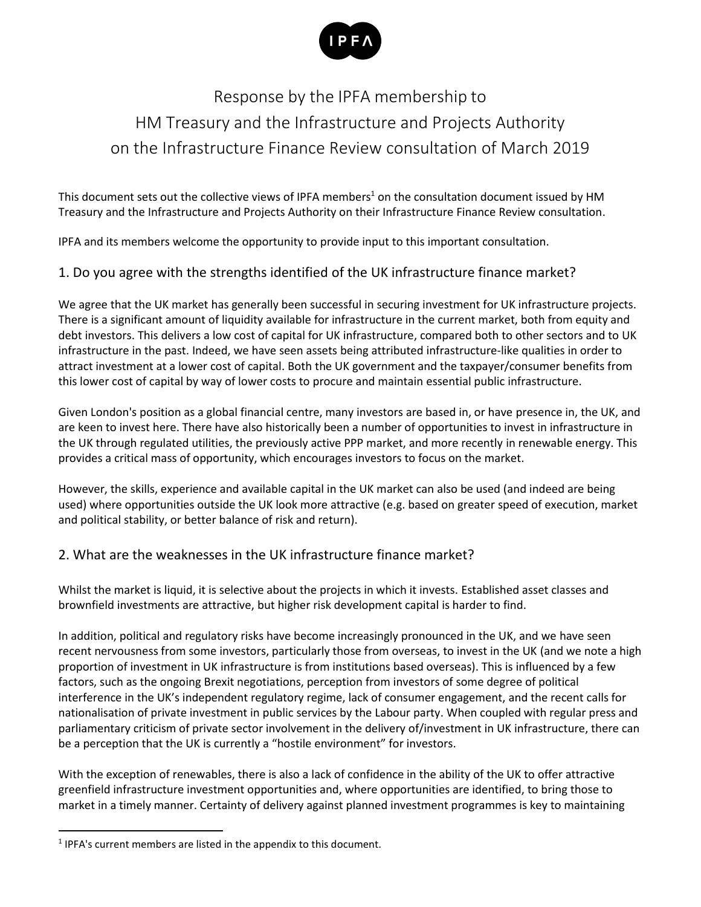

### Response by the IPFA membership to HM Treasury and the Infrastructure and Projects Authority on the Infrastructure Finance Review consultation of March 2019

This document sets out the collective views of IPFA members<sup>1</sup> on the consultation document issued by HM Treasury and the Infrastructure and Projects Authority on their Infrastructure Finance Review consultation.

IPFA and its members welcome the opportunity to provide input to this important consultation.

#### 1. Do you agree with the strengths identified of the UK infrastructure finance market?

We agree that the UK market has generally been successful in securing investment for UK infrastructure projects. There is a significant amount of liquidity available for infrastructure in the current market, both from equity and debt investors. This delivers a low cost of capital for UK infrastructure, compared both to other sectors and to UK infrastructure in the past. Indeed, we have seen assets being attributed infrastructure-like qualities in order to attract investment at a lower cost of capital. Both the UK government and the taxpayer/consumer benefits from this lower cost of capital by way of lower costs to procure and maintain essential public infrastructure.

Given London's position as a global financial centre, many investors are based in, or have presence in, the UK, and are keen to invest here. There have also historically been a number of opportunities to invest in infrastructure in the UK through regulated utilities, the previously active PPP market, and more recently in renewable energy. This provides a critical mass of opportunity, which encourages investors to focus on the market.

However, the skills, experience and available capital in the UK market can also be used (and indeed are being used) where opportunities outside the UK look more attractive (e.g. based on greater speed of execution, market and political stability, or better balance of risk and return).

#### 2. What are the weaknesses in the UK infrastructure finance market?

Whilst the market is liquid, it is selective about the projects in which it invests. Established asset classes and brownfield investments are attractive, but higher risk development capital is harder to find.

In addition, political and regulatory risks have become increasingly pronounced in the UK, and we have seen recent nervousness from some investors, particularly those from overseas, to invest in the UK (and we note a high proportion of investment in UK infrastructure is from institutions based overseas). This is influenced by a few factors, such as the ongoing Brexit negotiations, perception from investors of some degree of political interference in the UK's independent regulatory regime, lack of consumer engagement, and the recent calls for nationalisation of private investment in public services by the Labour party. When coupled with regular press and parliamentary criticism of private sector involvement in the delivery of/investment in UK infrastructure, there can be a perception that the UK is currently a "hostile environment" for investors.

With the exception of renewables, there is also a lack of confidence in the ability of the UK to offer attractive greenfield infrastructure investment opportunities and, where opportunities are identified, to bring those to market in a timely manner. Certainty of delivery against planned investment programmes is key to maintaining

 $<sup>1</sup>$  IPFA's current members are listed in the appendix to this document.</sup>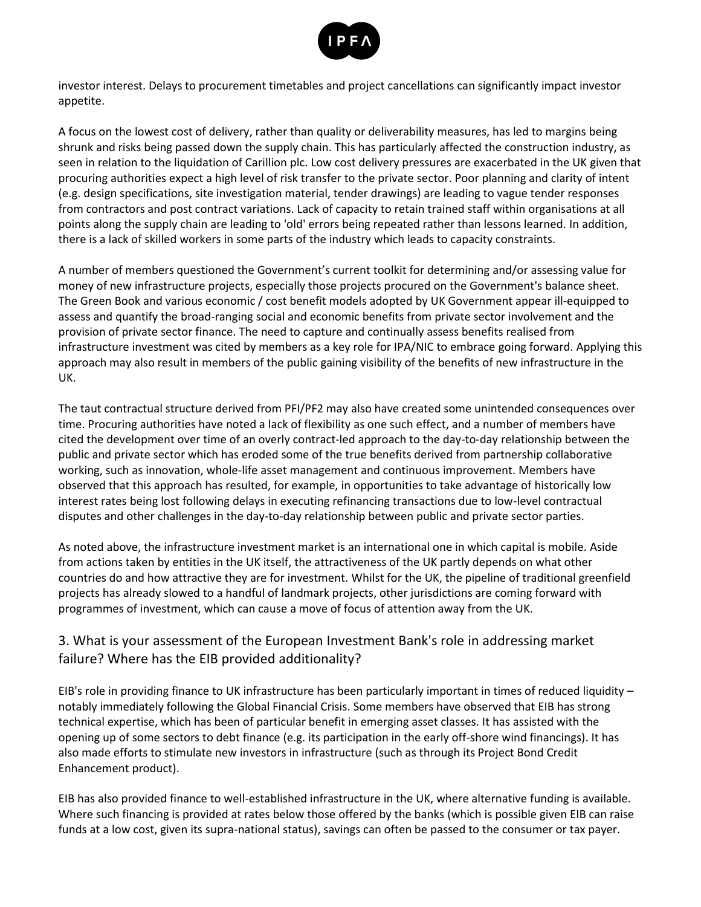

investor interest. Delays to procurement timetables and project cancellations can significantly impact investor appetite.

A focus on the lowest cost of delivery, rather than quality or deliverability measures, has led to margins being shrunk and risks being passed down the supply chain. This has particularly affected the construction industry, as seen in relation to the liquidation of Carillion plc. Low cost delivery pressures are exacerbated in the UK given that procuring authorities expect a high level of risk transfer to the private sector. Poor planning and clarity of intent (e.g. design specifications, site investigation material, tender drawings) are leading to vague tender responses from contractors and post contract variations. Lack of capacity to retain trained staff within organisations at all points along the supply chain are leading to 'old' errors being repeated rather than lessons learned. In addition, there is a lack of skilled workers in some parts of the industry which leads to capacity constraints.

A number of members questioned the Government's current toolkit for determining and/or assessing value for money of new infrastructure projects, especially those projects procured on the Government's balance sheet. The Green Book and various economic / cost benefit models adopted by UK Government appear ill-equipped to assess and quantify the broad-ranging social and economic benefits from private sector involvement and the provision of private sector finance. The need to capture and continually assess benefits realised from infrastructure investment was cited by members as a key role for IPA/NIC to embrace going forward. Applying this approach may also result in members of the public gaining visibility of the benefits of new infrastructure in the UK.

The taut contractual structure derived from PFI/PF2 may also have created some unintended consequences over time. Procuring authorities have noted a lack of flexibility as one such effect, and a number of members have cited the development over time of an overly contract-led approach to the day-to-day relationship between the public and private sector which has eroded some of the true benefits derived from partnership collaborative working, such as innovation, whole-life asset management and continuous improvement. Members have observed that this approach has resulted, for example, in opportunities to take advantage of historically low interest rates being lost following delays in executing refinancing transactions due to low-level contractual disputes and other challenges in the day-to-day relationship between public and private sector parties.

As noted above, the infrastructure investment market is an international one in which capital is mobile. Aside from actions taken by entities in the UK itself, the attractiveness of the UK partly depends on what other countries do and how attractive they are for investment. Whilst for the UK, the pipeline of traditional greenfield projects has already slowed to a handful of landmark projects, other jurisdictions are coming forward with programmes of investment, which can cause a move of focus of attention away from the UK.

#### 3. What is your assessment of the European Investment Bank's role in addressing market failure? Where has the EIB provided additionality?

EIB's role in providing finance to UK infrastructure has been particularly important in times of reduced liquidity – notably immediately following the Global Financial Crisis. Some members have observed that EIB has strong technical expertise, which has been of particular benefit in emerging asset classes. It has assisted with the opening up of some sectors to debt finance (e.g. its participation in the early off-shore wind financings). It has also made efforts to stimulate new investors in infrastructure (such as through its Project Bond Credit Enhancement product).

EIB has also provided finance to well-established infrastructure in the UK, where alternative funding is available. Where such financing is provided at rates below those offered by the banks (which is possible given EIB can raise funds at a low cost, given its supra-national status), savings can often be passed to the consumer or tax payer.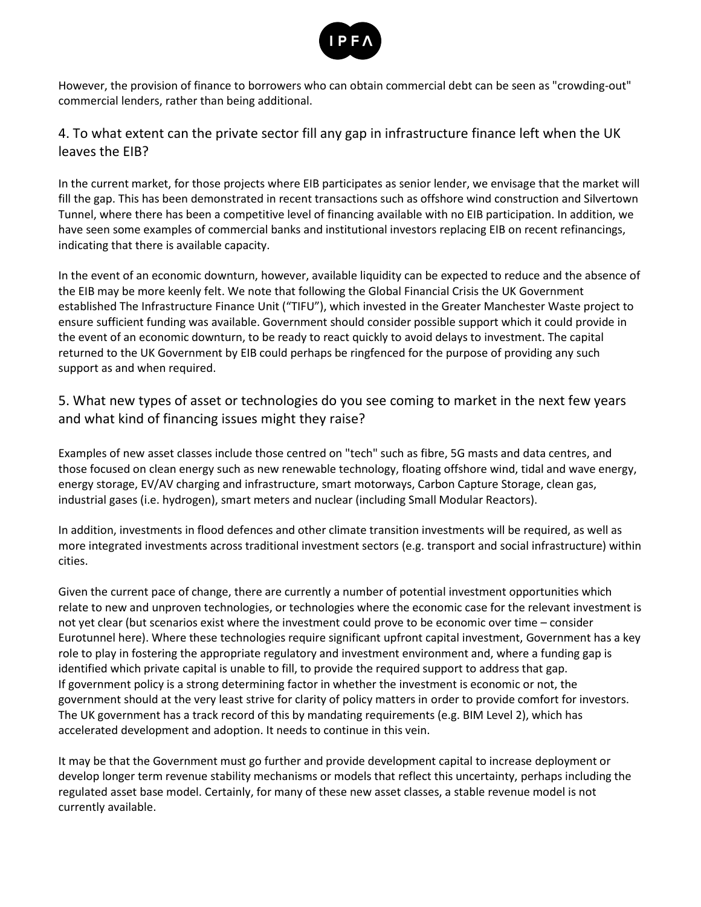

However, the provision of finance to borrowers who can obtain commercial debt can be seen as "crowding-out" commercial lenders, rather than being additional.

#### 4. To what extent can the private sector fill any gap in infrastructure finance left when the UK leaves the EIB?

In the current market, for those projects where EIB participates as senior lender, we envisage that the market will fill the gap. This has been demonstrated in recent transactions such as offshore wind construction and Silvertown Tunnel, where there has been a competitive level of financing available with no EIB participation. In addition, we have seen some examples of commercial banks and institutional investors replacing EIB on recent refinancings, indicating that there is available capacity.

In the event of an economic downturn, however, available liquidity can be expected to reduce and the absence of the EIB may be more keenly felt. We note that following the Global Financial Crisis the UK Government established The Infrastructure Finance Unit ("TIFU"), which invested in the Greater Manchester Waste project to ensure sufficient funding was available. Government should consider possible support which it could provide in the event of an economic downturn, to be ready to react quickly to avoid delays to investment. The capital returned to the UK Government by EIB could perhaps be ringfenced for the purpose of providing any such support as and when required.

5. What new types of asset or technologies do you see coming to market in the next few years and what kind of financing issues might they raise?

Examples of new asset classes include those centred on "tech" such as fibre, 5G masts and data centres, and those focused on clean energy such as new renewable technology, floating offshore wind, tidal and wave energy, energy storage, EV/AV charging and infrastructure, smart motorways, Carbon Capture Storage, clean gas, industrial gases (i.e. hydrogen), smart meters and nuclear (including Small Modular Reactors).

In addition, investments in flood defences and other climate transition investments will be required, as well as more integrated investments across traditional investment sectors (e.g. transport and social infrastructure) within cities.

Given the current pace of change, there are currently a number of potential investment opportunities which relate to new and unproven technologies, or technologies where the economic case for the relevant investment is not yet clear (but scenarios exist where the investment could prove to be economic over time – consider Eurotunnel here). Where these technologies require significant upfront capital investment, Government has a key role to play in fostering the appropriate regulatory and investment environment and, where a funding gap is identified which private capital is unable to fill, to provide the required support to address that gap. If government policy is a strong determining factor in whether the investment is economic or not, the government should at the very least strive for clarity of policy matters in order to provide comfort for investors. The UK government has a track record of this by mandating requirements (e.g. BIM Level 2), which has accelerated development and adoption. It needs to continue in this vein.

It may be that the Government must go further and provide development capital to increase deployment or develop longer term revenue stability mechanisms or models that reflect this uncertainty, perhaps including the regulated asset base model. Certainly, for many of these new asset classes, a stable revenue model is not currently available.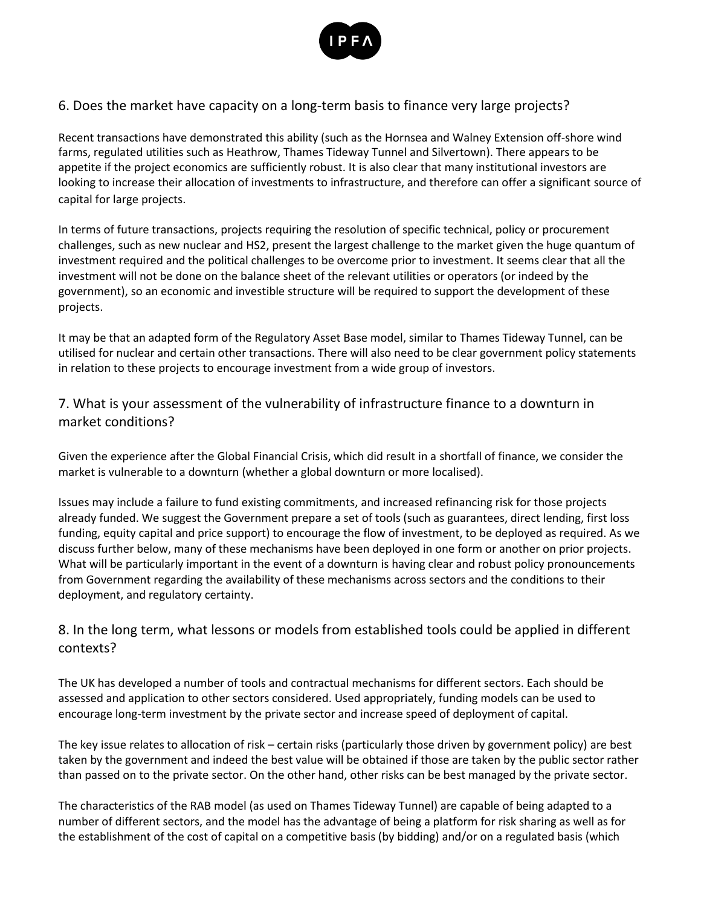

#### 6. Does the market have capacity on a long-term basis to finance very large projects?

Recent transactions have demonstrated this ability (such as the Hornsea and Walney Extension off-shore wind farms, regulated utilities such as Heathrow, Thames Tideway Tunnel and Silvertown). There appears to be appetite if the project economics are sufficiently robust. It is also clear that many institutional investors are looking to increase their allocation of investments to infrastructure, and therefore can offer a significant source of capital for large projects.

In terms of future transactions, projects requiring the resolution of specific technical, policy or procurement challenges, such as new nuclear and HS2, present the largest challenge to the market given the huge quantum of investment required and the political challenges to be overcome prior to investment. It seems clear that all the investment will not be done on the balance sheet of the relevant utilities or operators (or indeed by the government), so an economic and investible structure will be required to support the development of these projects.

It may be that an adapted form of the Regulatory Asset Base model, similar to Thames Tideway Tunnel, can be utilised for nuclear and certain other transactions. There will also need to be clear government policy statements in relation to these projects to encourage investment from a wide group of investors.

#### 7. What is your assessment of the vulnerability of infrastructure finance to a downturn in market conditions?

Given the experience after the Global Financial Crisis, which did result in a shortfall of finance, we consider the market is vulnerable to a downturn (whether a global downturn or more localised).

Issues may include a failure to fund existing commitments, and increased refinancing risk for those projects already funded. We suggest the Government prepare a set of tools (such as guarantees, direct lending, first loss funding, equity capital and price support) to encourage the flow of investment, to be deployed as required. As we discuss further below, many of these mechanisms have been deployed in one form or another on prior projects. What will be particularly important in the event of a downturn is having clear and robust policy pronouncements from Government regarding the availability of these mechanisms across sectors and the conditions to their deployment, and regulatory certainty.

#### 8. In the long term, what lessons or models from established tools could be applied in different contexts?

The UK has developed a number of tools and contractual mechanisms for different sectors. Each should be assessed and application to other sectors considered. Used appropriately, funding models can be used to encourage long-term investment by the private sector and increase speed of deployment of capital.

The key issue relates to allocation of risk – certain risks (particularly those driven by government policy) are best taken by the government and indeed the best value will be obtained if those are taken by the public sector rather than passed on to the private sector. On the other hand, other risks can be best managed by the private sector.

The characteristics of the RAB model (as used on Thames Tideway Tunnel) are capable of being adapted to a number of different sectors, and the model has the advantage of being a platform for risk sharing as well as for the establishment of the cost of capital on a competitive basis (by bidding) and/or on a regulated basis (which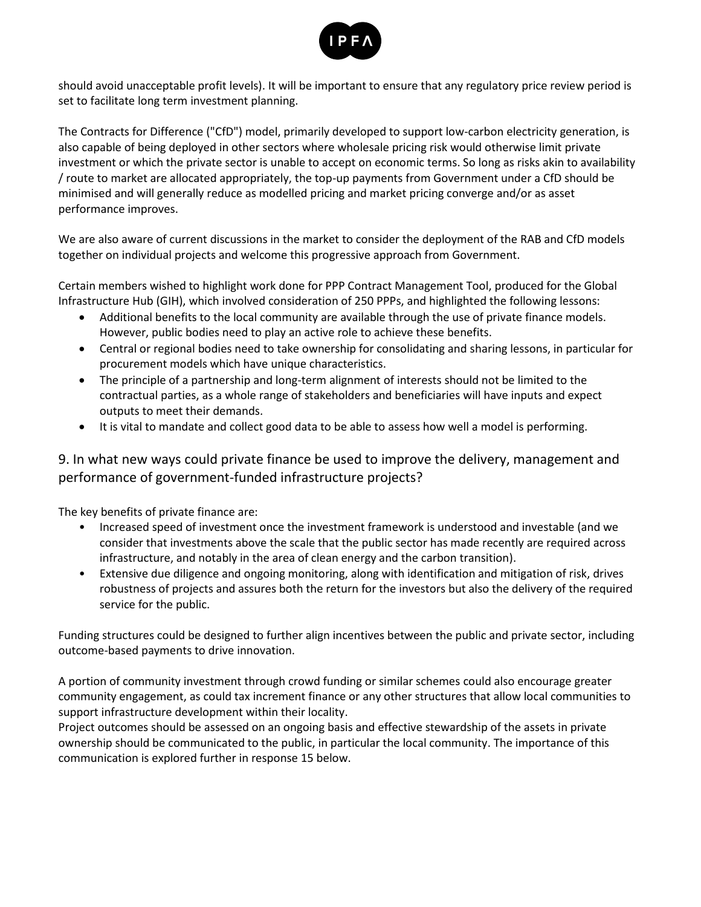

should avoid unacceptable profit levels). It will be important to ensure that any regulatory price review period is set to facilitate long term investment planning.

The Contracts for Difference ("CfD") model, primarily developed to support low-carbon electricity generation, is also capable of being deployed in other sectors where wholesale pricing risk would otherwise limit private investment or which the private sector is unable to accept on economic terms. So long as risks akin to availability / route to market are allocated appropriately, the top-up payments from Government under a CfD should be minimised and will generally reduce as modelled pricing and market pricing converge and/or as asset performance improves.

We are also aware of current discussions in the market to consider the deployment of the RAB and CfD models together on individual projects and welcome this progressive approach from Government.

Certain members wished to highlight work done for PPP Contract Management Tool, produced for the Global Infrastructure Hub (GIH), which involved consideration of 250 PPPs, and highlighted the following lessons:

- Additional benefits to the local community are available through the use of private finance models. However, public bodies need to play an active role to achieve these benefits.
- Central or regional bodies need to take ownership for consolidating and sharing lessons, in particular for procurement models which have unique characteristics.
- The principle of a partnership and long-term alignment of interests should not be limited to the contractual parties, as a whole range of stakeholders and beneficiaries will have inputs and expect outputs to meet their demands.
- It is vital to mandate and collect good data to be able to assess how well a model is performing.

9. In what new ways could private finance be used to improve the delivery, management and performance of government-funded infrastructure projects?

The key benefits of private finance are:

- Increased speed of investment once the investment framework is understood and investable (and we consider that investments above the scale that the public sector has made recently are required across infrastructure, and notably in the area of clean energy and the carbon transition).
- Extensive due diligence and ongoing monitoring, along with identification and mitigation of risk, drives robustness of projects and assures both the return for the investors but also the delivery of the required service for the public.

Funding structures could be designed to further align incentives between the public and private sector, including outcome-based payments to drive innovation.

A portion of community investment through crowd funding or similar schemes could also encourage greater community engagement, as could tax increment finance or any other structures that allow local communities to support infrastructure development within their locality.

Project outcomes should be assessed on an ongoing basis and effective stewardship of the assets in private ownership should be communicated to the public, in particular the local community. The importance of this communication is explored further in response 15 below.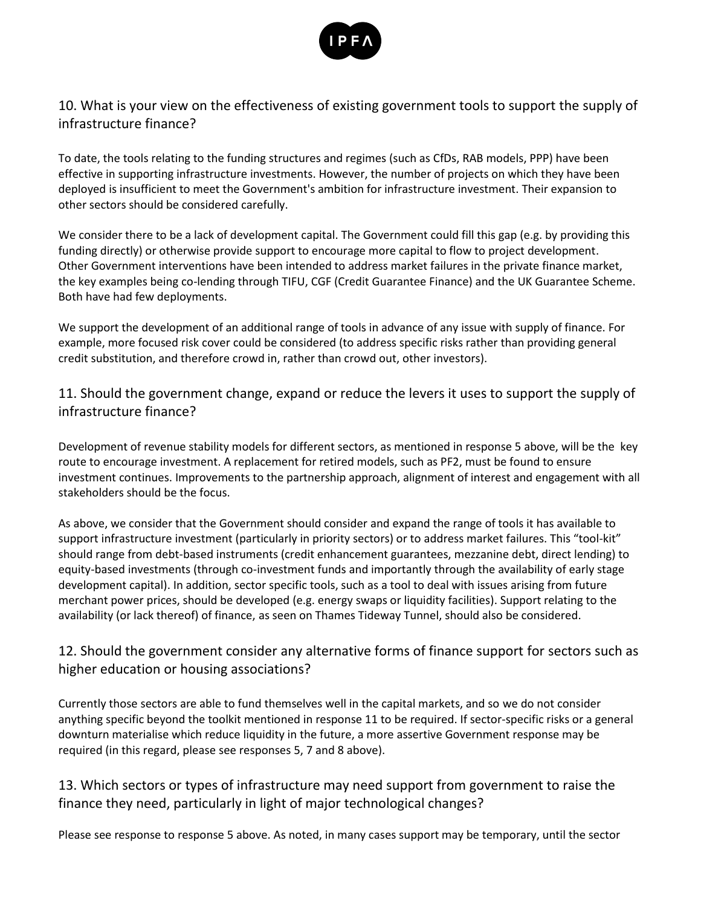

#### 10. What is your view on the effectiveness of existing government tools to support the supply of infrastructure finance?

To date, the tools relating to the funding structures and regimes (such as CfDs, RAB models, PPP) have been effective in supporting infrastructure investments. However, the number of projects on which they have been deployed is insufficient to meet the Government's ambition for infrastructure investment. Their expansion to other sectors should be considered carefully.

We consider there to be a lack of development capital. The Government could fill this gap (e.g. by providing this funding directly) or otherwise provide support to encourage more capital to flow to project development. Other Government interventions have been intended to address market failures in the private finance market, the key examples being co-lending through TIFU, CGF (Credit Guarantee Finance) and the UK Guarantee Scheme. Both have had few deployments.

We support the development of an additional range of tools in advance of any issue with supply of finance. For example, more focused risk cover could be considered (to address specific risks rather than providing general credit substitution, and therefore crowd in, rather than crowd out, other investors).

11. Should the government change, expand or reduce the levers it uses to support the supply of infrastructure finance?

Development of revenue stability models for different sectors, as mentioned in response 5 above, will be the key route to encourage investment. A replacement for retired models, such as PF2, must be found to ensure investment continues. Improvements to the partnership approach, alignment of interest and engagement with all stakeholders should be the focus.

As above, we consider that the Government should consider and expand the range of tools it has available to support infrastructure investment (particularly in priority sectors) or to address market failures. This "tool-kit" should range from debt-based instruments (credit enhancement guarantees, mezzanine debt, direct lending) to equity-based investments (through co-investment funds and importantly through the availability of early stage development capital). In addition, sector specific tools, such as a tool to deal with issues arising from future merchant power prices, should be developed (e.g. energy swaps or liquidity facilities). Support relating to the availability (or lack thereof) of finance, as seen on Thames Tideway Tunnel, should also be considered.

#### 12. Should the government consider any alternative forms of finance support for sectors such as higher education or housing associations?

Currently those sectors are able to fund themselves well in the capital markets, and so we do not consider anything specific beyond the toolkit mentioned in response 11 to be required. If sector-specific risks or a general downturn materialise which reduce liquidity in the future, a more assertive Government response may be required (in this regard, please see responses 5, 7 and 8 above).

#### 13. Which sectors or types of infrastructure may need support from government to raise the finance they need, particularly in light of major technological changes?

Please see response to response 5 above. As noted, in many cases support may be temporary, until the sector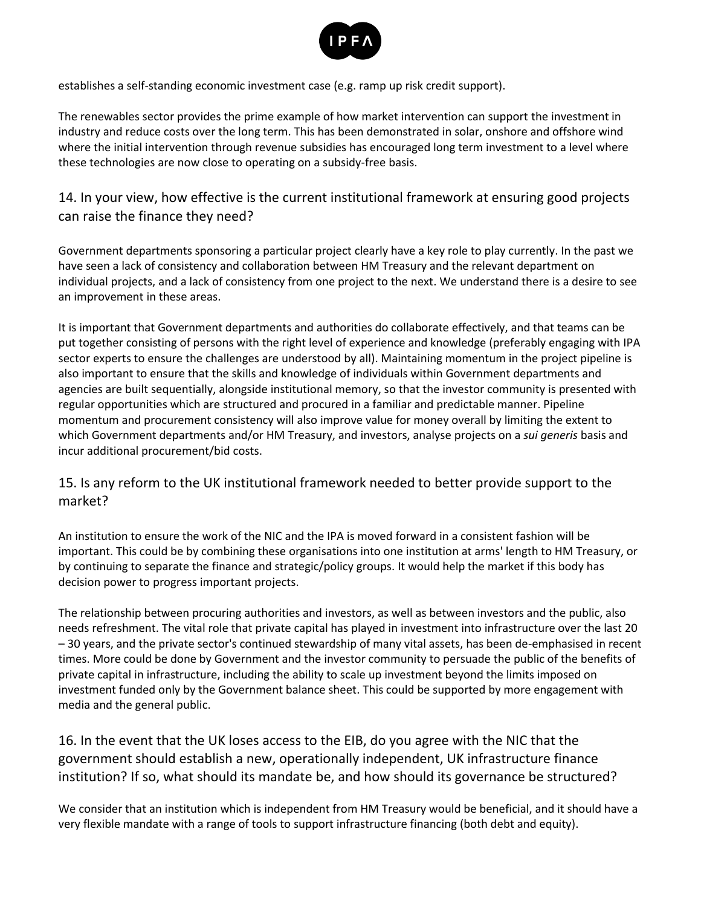

establishes a self-standing economic investment case (e.g. ramp up risk credit support).

The renewables sector provides the prime example of how market intervention can support the investment in industry and reduce costs over the long term. This has been demonstrated in solar, onshore and offshore wind where the initial intervention through revenue subsidies has encouraged long term investment to a level where these technologies are now close to operating on a subsidy-free basis.

#### 14. In your view, how effective is the current institutional framework at ensuring good projects can raise the finance they need?

Government departments sponsoring a particular project clearly have a key role to play currently. In the past we have seen a lack of consistency and collaboration between HM Treasury and the relevant department on individual projects, and a lack of consistency from one project to the next. We understand there is a desire to see an improvement in these areas.

It is important that Government departments and authorities do collaborate effectively, and that teams can be put together consisting of persons with the right level of experience and knowledge (preferably engaging with IPA sector experts to ensure the challenges are understood by all). Maintaining momentum in the project pipeline is also important to ensure that the skills and knowledge of individuals within Government departments and agencies are built sequentially, alongside institutional memory, so that the investor community is presented with regular opportunities which are structured and procured in a familiar and predictable manner. Pipeline momentum and procurement consistency will also improve value for money overall by limiting the extent to which Government departments and/or HM Treasury, and investors, analyse projects on a *sui generis* basis and incur additional procurement/bid costs.

#### 15. Is any reform to the UK institutional framework needed to better provide support to the market?

An institution to ensure the work of the NIC and the IPA is moved forward in a consistent fashion will be important. This could be by combining these organisations into one institution at arms' length to HM Treasury, or by continuing to separate the finance and strategic/policy groups. It would help the market if this body has decision power to progress important projects.

The relationship between procuring authorities and investors, as well as between investors and the public, also needs refreshment. The vital role that private capital has played in investment into infrastructure over the last 20 – 30 years, and the private sector's continued stewardship of many vital assets, has been de-emphasised in recent times. More could be done by Government and the investor community to persuade the public of the benefits of private capital in infrastructure, including the ability to scale up investment beyond the limits imposed on investment funded only by the Government balance sheet. This could be supported by more engagement with media and the general public.

16. In the event that the UK loses access to the EIB, do you agree with the NIC that the government should establish a new, operationally independent, UK infrastructure finance institution? If so, what should its mandate be, and how should its governance be structured?

We consider that an institution which is independent from HM Treasury would be beneficial, and it should have a very flexible mandate with a range of tools to support infrastructure financing (both debt and equity).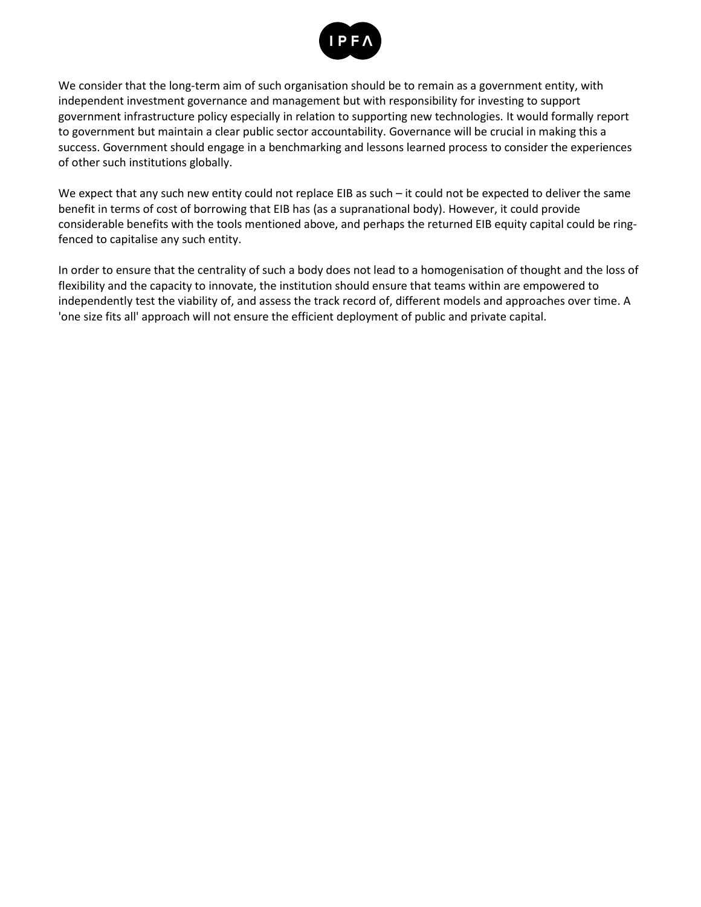

We consider that the long-term aim of such organisation should be to remain as a government entity, with independent investment governance and management but with responsibility for investing to support government infrastructure policy especially in relation to supporting new technologies. It would formally report to government but maintain a clear public sector accountability. Governance will be crucial in making this a success. Government should engage in a benchmarking and lessons learned process to consider the experiences of other such institutions globally.

We expect that any such new entity could not replace EIB as such – it could not be expected to deliver the same benefit in terms of cost of borrowing that EIB has (as a supranational body). However, it could provide considerable benefits with the tools mentioned above, and perhaps the returned EIB equity capital could be ringfenced to capitalise any such entity.

In order to ensure that the centrality of such a body does not lead to a homogenisation of thought and the loss of flexibility and the capacity to innovate, the institution should ensure that teams within are empowered to independently test the viability of, and assess the track record of, different models and approaches over time. A 'one size fits all' approach will not ensure the efficient deployment of public and private capital.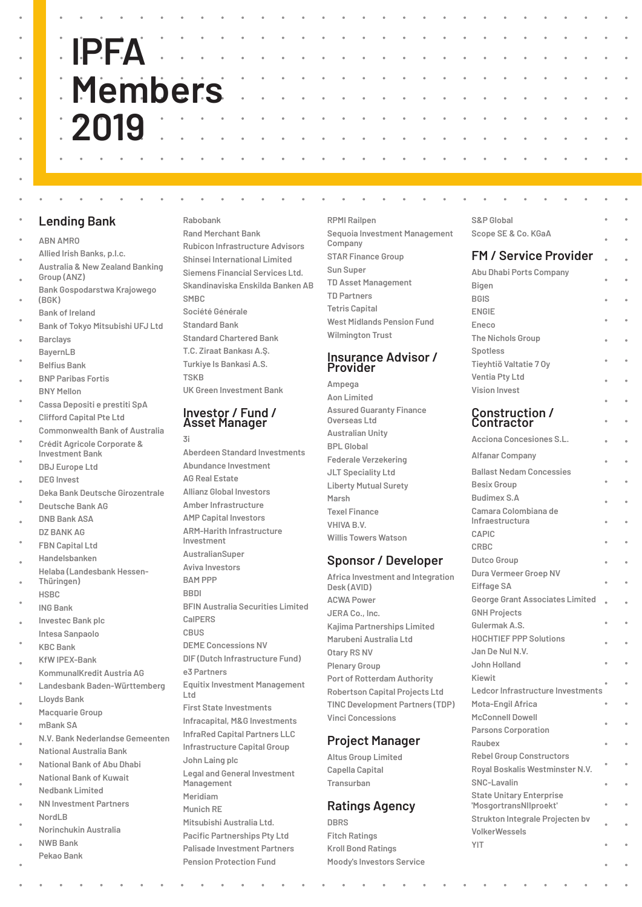#### **Lending Bank**

- **ABN AMRO**
- **Allied Irish Banks, p.l.c.**
- **Australia & New Zealand Banking Group (ANZ)**
- **Bank Gospodarstwa Krajowego (BGK)**
- **Bank of Ireland**
- **Bank of Tokyo Mitsubishi UFJ Ltd Barclays**
- **BayernLB**
- **Belfius Bank**
- **BNP Paribas Fortis BNY Mellon**
- 
- **Cassa Depositi e prestiti SpA Clifford Capital Pte Ltd**
- **Commonwealth Bank of Australia**
- **Crédit Agricole Corporate & Investment Bank**
- **DBJ Europe Ltd**
- **DEG Invest**
- **Deka Bank Deutsche Girozentrale**
- **Deutsche Bank AG**
- **DNB Bank ASA DZ BANK AG**
- **FBN Capital Ltd**
- **Handelsbanken**
- **Helaba (Landesbank Hessen-**
- **Thüringen)**
- **HSBC**
- **ING Bank**
- **Investec Bank plc Intesa Sanpaolo**
- **KBC Bank**
- **KfW IPEX-Bank**
- **KommunalKredit Austria AG Landesbank Baden-Württemberg**
- **Lloyds Bank**
- **Macquarie Group**
- **mBank SA**
- **N.V. Bank Nederlandse Gemeenten National Australia Bank**
- **National Bank of Abu Dhabi**
- **National Bank of Kuwait**
- **Nedbank Limited**
- **NN Investment Partners NordLB**
- **Norinchukin Australia**
- **NWB Bank Pekao Bank**

#### **Rabobank**

**Rand Merchant Bank Rubicon Infrastructure Advisors Shinsei International Limited Siemens Financial Services Ltd. Skandinaviska Enskilda Banken AB SMBC Société Générale Standard Bank Standard Chartered Bank T.C. Ziraat Bankası A.Ş. Turkiye Is Bankasi A.S. TSKB UK Green Investment Bank**

#### **Investor / Fund / Asset Manager**

- **3i**
- **Aberdeen Standard Investments Abundance Investment AG Real Estate Allianz Global Investors Amber Infrastructure AMP Capital Investors ARM-Harith Infrastructure Investment AustralianSuper Aviva Investors BAM PPP BBDI BFIN Australia Securities Limited CalPERS CBUS DEME Concessions NV DIF (Dutch Infrastructure Fund) e3 Partners Equitix Investment Management Ltd First State Investments Infracapital, M&G Investments InfraRed Capital Partners LLC Infrastructure Capital Group John Laing plc Legal and General Investment Management Meridiam Munich RE Mitsubishi Australia Ltd. Pacific Partnerships Pty Ltd Palisade Investment Partners Pension Protection Fund**

**RPMI Railpen Sequoia Investment Management Company STAR Finance Group Sun Super TD Asset Management TD Partners Tetris Capital West Midlands Pension Fund Wilmington Trust**

#### **Insurance Advisor / Provider**

**Ampega Aon Limited Assured Guaranty Finance Overseas Ltd Australian Unity BPL Global Federale Verzekering JLT Speciality Ltd Liberty Mutual Surety Marsh Texel Finance VHIVA B.V. Willis Towers Watson**

#### **Sponsor / Developer**

**Africa Investment and Integration Desk (AVID) ACWA Power JERA Co., Inc. Kajima Partnerships Limited Marubeni Australia Ltd Otary RS NV Plenary Group Port of Rotterdam Authority Robertson Capital Projects Ltd TINC Development Partners (TDP) Vinci Concessions**

#### **Project Manager**

**Altus Group Limited Capella Capital Transurban** 

#### **Ratings Agency**

**DBRS Fitch Ratings Kroll Bond Ratings Moody's Investors Service**

| S&P Global          |  |
|---------------------|--|
| Scope SE & Co. KGaA |  |

### **FM / Service Provider**

| Abu Dhabi Ports Company |        |
|-------------------------|--------|
| Bigen                   |        |
| <b>BGIS</b>             |        |
| <b>ENGIE</b>            |        |
| Eneco                   |        |
| The Nichols Group       | ٠      |
| Spotless                |        |
| Tieyhtiö Valtatie 7 Oy  | ٠      |
| Ventia Pty Ltd          |        |
| Vision Invest           |        |
|                         | $\sim$ |

#### **Construction / Contractor**

| Acciona Concesiones S.L.               |   |
|----------------------------------------|---|
| Alfanar Company                        |   |
| <b>Ballast Nedam Concessies</b>        |   |
| <b>Besix Group</b>                     | ö |
| <b>Budimex S.A</b>                     | ó |
| Camara Colombiana de                   |   |
| Infraestructura                        | ä |
| CAPIC                                  | ä |
| CRBC                                   |   |
| Dutco Group                            | ä |
| Dura Vermeer Groep NV                  |   |
| Eiffage SA                             |   |
| <b>George Grant Associates Limited</b> |   |
| <b>GNH Projects</b>                    |   |
| Gulermak A.S.                          | ó |
| <b>HOCHTIEF PPP Solutions</b>          |   |
| Jan De Nul N.V.                        |   |
| John Holland                           | ó |
| Kiewit                                 |   |
| Ledcor Infrastructure Investments      |   |
| Mota-Engil Africa                      | ó |
| McConnell Dowell                       |   |
| <b>Parsons Corporation</b>             | ó |
| Raubex                                 |   |
| <b>Rebel Group Constructors</b>        |   |
| Royal Boskalis Westminster N.V.        |   |
| SNC-Lavalin                            |   |
| <b>State Unitary Enterprise</b>        |   |
| 'MosgortransNllproekt'                 |   |
| Strukton Integrale Projecten bv        |   |
| VolkerWessels                          |   |
| YIT                                    |   |
|                                        | ė |
|                                        |   |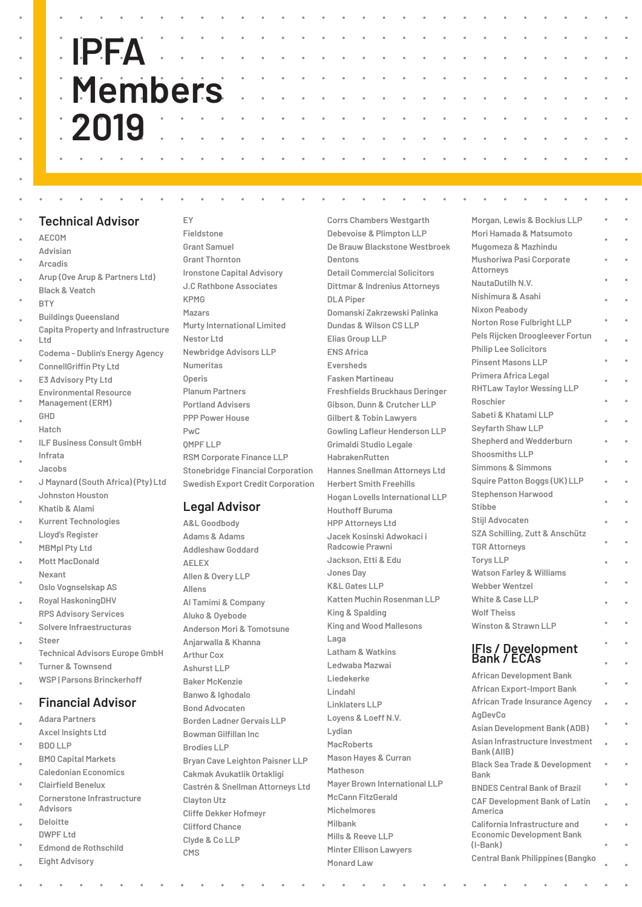#### **Technical Advisor**

**AECOM**

- **Advisian**
- **Arcadis**
- **Arup (Ove Arup & Partners Ltd)**
- **Black & Veatch BTY**

- **Buildings Queensland Capita Property and Infrastructure Ltd**
- **Codema Dublin's Energy Agency ConnellGriffin Pty Ltd**
- **E3 Advisory Pty Ltd**
- **Environmental Resource**
- **Management (ERM) GHD**
- **Hatch**
- **ILF Business Consult GmbH**
- **Infrata**
- **Jacobs**
- **J Maynard (South Africa) (Pty) Ltd Johnston Houston**
- **Khatib & Alami**
- **Kurrent Technologies Lloyd's Register**
- **MBMpl Pty Ltd Mott MacDonald**
- **Nexant**
- **Oslo Vognselskap AS**
- **Royal HaskoningDHV RPS Advisory Services**
- **Solvere Infraestructuras Steer**
- **Technical Advisors Europe GmbH**
- **Turner & Townsend WSP | Parsons Brinckerhoff**

#### **Financial Advisor**

- **Adara Partners**
- **Axcel Insights Ltd**
- **BDO LLP**
- **BMO Capital Markets Caledonian Economics**
- **Clairfield Benelux**
- **Cornerstone Infrastructure Advisors**
- **Deloitte**
- **DWPF Ltd**
- **Edmond de Rothschild**
- **Eight Advisory**

#### **EY**

**Fieldstone Grant Samuel Grant Thornton Ironstone Capital Advisory J.C Rathbone Associates KPMG Mazars Murty International Limited Nestor Ltd Newbridge Advisors LLP Numeritas Operis Planum Partners Portland Advisers PPP Power House PwC QMPF LLP RSM Corporate Finance LLP Stonebridge Financial Corporation Swedish Export Credit Corporation**

#### **Legal Advisor**

**A&L Goodbody Adams & Adams Addleshaw Goddard AELEX Allen & Overy LLP Allens Al Tamimi & Company Aluko & Oyebode Anderson Mori & Tomotsune Anjarwalla & Khanna Arthur Cox Ashurst LLP Baker McKenzie Banwo & Ighodalo Bond Advocaten Borden Ladner Gervais LLP Bowman Gilfillan Inc Brodies LLP Bryan Cave Leighton Paisner LLP Cakmak Avukatlik Ortakligi Castrén & Snellman Attorneys Ltd Clayton Utz Cliffe Dekker Hofmeyr Clifford Chance Clyde & Co LLP CMS**

**Corrs Chambers Westgarth Debevoise & Plimpton LLP De Brauw Blackstone Westbroek Dentons Detail Commercial Solicitors Dittmar & Indrenius Attorneys DLA Piper Domanski Zakrzewski Palinka Dundas & Wilson CS LLP Elias Group LLP ENS Africa Eversheds Fasken Martineau Freshfields Bruckhaus Deringer Gibson, Dunn & Crutcher LLP Gilbert & Tobin Lawyers Gowling Lafleur Henderson LLP Grimaldi Studio Legale HabrakenRutten Hannes Snellman Attorneys Ltd Herbert Smith Freehills Hogan Lovells International LLP Houthoff Buruma HPP Attorneys Ltd Jacek Kosinski Adwokaci i Radcowie Prawni Jackson, Etti & Edu Jones Day K&L Gates LLP Katten Muchin Rosenman LLP King & Spalding King and Wood Mallesons Laga Latham & Watkins Ledwaba Mazwai Liedekerke Lindahl Linklaters LLP Loyens & Loeff N.V. Lydian MacRoberts Mason Hayes & Curran Matheson Mayer Brown International LLP McCann FitzGerald Michelmores Milbank**

**Mills & Reeve LLP Minter Ellison Lawyers**

**Monard Law**

**Morgan, Lewis & Bockius LLP Mori Hamada & Matsumoto Mugomeza & Mazhindu Mushoriwa Pasi Corporate Attorneys NautaDutilh N.V. Nishimura & Asahi Nixon Peabody Norton Rose Fulbright LLP Pels Rijcken Droogleever Fortun Philip Lee Solicitors Pinsent Masons LLP Primera Africa Legal RHTLaw Taylor Wessing LLP Roschier Sabeti & Khatami LLP Seyfarth Shaw LLP Shepherd and Wedderburn Shoosmiths LLP Simmons & Simmons Squire Patton Boggs (UK) LLP Stephenson Harwood Stibbe Stijl Advocaten SZA Schilling, Zutt & Anschütz TGR Attorneys Torys LLP Watson Farley & Williams Webber Wentzel White & Case LLP Wolf Theiss Winston & Strawn LLP IFIs / Development Bank / ECAs African Development Bank African Export-Import Bank African Trade Insurance Agency AgDevCo Asian Development Bank (ADB) Asian Infrastructure Investment Bank (AIIB) Black Sea Trade & Development Bank BNDES Central Bank of Brazil CAF Development Bank of Latin America California Infrastructure and** 

#### **Economic Development Bank (I-Bank) Central Bank Philippines (Bangko**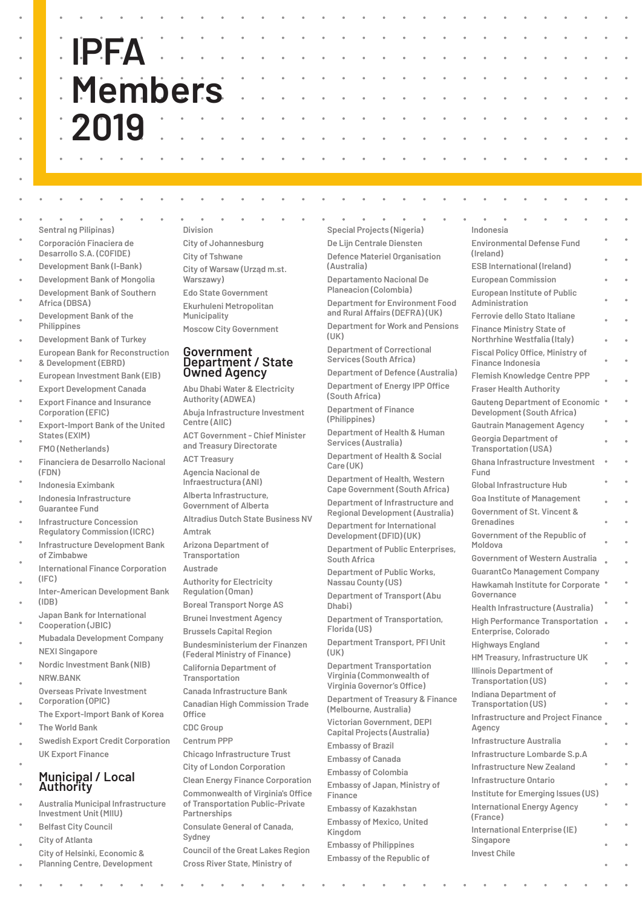#### **Sentral ng Pilipinas) Corporación Finaciera de Desarrollo S.A. (COFIDE)**

- **Development Bank (I-Bank)**
- **Development Bank of Mongolia**
- **Development Bank of Southern Africa (DBSA)**
- **Development Bank of the Philippines**
- **Development Bank of Turkey European Bank for Reconstruction**
- **& Development (EBRD)**
- **European Investment Bank (EIB) Export Development Canada**
- **Export Finance and Insurance Corporation (EFIC)**
- **Export-Import Bank of the United States (EXIM)**
- **FMO (Netherlands)**
- **Financiera de Desarrollo Nacional (FDN)**
- **Indonesia Eximbank Indonesia Infrastructure**
- **Guarantee Fund**
- **Infrastructure Concession Regulatory Commission (ICRC)**
- **Infrastructure Development Bank of Zimbabwe**
- **International Finance Corporation (IFC)**
- **Inter-American Development Bank (IDB)**
- **Japan Bank for International Cooperation (JBIC)**
- **Mubadala Development Company NEXI Singapore**
- **Nordic Investment Bank (NIB) NRW.BANK**
- **Overseas Private Investment Corporation (OPIC)**
- **The Export-Import Bank of Korea**
- **The World Bank**
- **Swedish Export Credit Corporation UK Export Finance**

#### **Municipal / Local Authority**

- **Australia Municipal Infrastructure Investment Unit (MIIU)**
- **Belfast City Council**
- **City of Atlanta**
- **City of Helsinki, Economic & Planning Centre, Development**

### **Division**

- **City of Johannesburg City of Tshwane City of Warsaw (Urząd m.st. Warszawy) Edo State Government**
- **Ekurhuleni Metropolitan Municipality**
- **Moscow City Government**

#### **Government Department / State Owned Agency**

**Abu Dhabi Water & Electricity Authority (ADWEA) Abuja Infrastructure Investment Centre (AIIC) ACT Government - Chief Minister and Treasury Directorate ACT Treasury Agencia Nacional de Infraestructura (ANI) Alberta Infrastructure, Government of Alberta Altradius Dutch State Business NV Amtrak Arizona Department of Transportation Austrade Authority for Electricity Regulation (Oman) Boreal Transport Norge AS Brunei Investment Agency Brussels Capital Region Bundesministerium der Finanzen (Federal Ministry of Finance) California Department of Transportation Canada Infrastructure Bank Canadian High Commission Trade Office CDC Group Centrum PPP Chicago Infrastructure Trust City of London Corporation Clean Energy Finance Corporation Commonwealth of Virginia's Office of Transportation Public-Private Partnerships Consulate General of Canada, Sydney Council of the Great Lakes Region Cross River State, Ministry of** 

**Special Projects (Nigeria) De Lijn Centrale Diensten Defence Materiel Organisation (Australia) Departamento Nacional De Planeacion (Colombia) Department for Environment Food and Rural Affairs (DEFRA) (UK) Department for Work and Pensions (UK) Department of Correctional Services (South Africa) Department of Defence (Australia) Department of Energy IPP Office (South Africa) Department of Finance (Philippines) Department of Health & Human Services (Australia) Department of Health & Social Care (UK) Department of Health, Western Cape Government (South Africa) Department of Infrastructure and** 

**Regional Development (Australia) Department for International Development (DFID) (UK) Department of Public Enterprises, South Africa**

**Department of Public Works, Nassau County (US)**

**Department of Transport (Abu Dhabi)**

**Department of Transportation, Florida (US)**

**Department Transport, PFI Unit (UK)**

**Department Transportation Virginia (Commonwealth of** 

**Virginia Governor's Office) Department of Treasury & Finance (Melbourne, Australia) Victorian Government, DEPI Capital Projects (Australia) Embassy of Brazil**

- **Embassy of Canada**
- **Embassy of Colombia Embassy of Japan, Ministry of Finance**

**Embassy of Kazakhstan Embassy of Mexico, United** 

**Kingdom Embassy of Philippines**

**Embassy of the Republic of** 

| Indonesia                                                           |   |        |
|---------------------------------------------------------------------|---|--------|
| <b>Environmental Defense Fund</b><br>(Ireland)                      |   | ò      |
| <b>ESB International (Ireland)</b>                                  |   |        |
| <b>European Commission</b>                                          |   | ò      |
| <b>European Institute of Public</b><br>Administration               |   |        |
| Ferrovie dello Stato Italiane                                       |   | ò      |
| <b>Finance Ministry State of</b><br>Northrhine Westfalia (Italy)    |   | ò      |
| <b>Fiscal Policy Office, Ministry of</b><br>Finance Indonesia       |   | ò      |
| <b>Flemish Knowledge Centre PPP</b>                                 |   |        |
| <b>Fraser Health Authority</b>                                      |   |        |
| <b>Gauteng Department of Economic</b><br>Development (South Africa) |   | o      |
| <b>Gautrain Management Agency</b>                                   |   |        |
| Georgia Department of<br><b>Transportation (USA)</b>                | ö | ò      |
| Ghana Infrastructure Investment<br>Fund                             |   |        |
| Global Infrastructure Hub                                           | ۰ | ۰      |
| <b>Goa Institute of Management</b>                                  |   |        |
| Government of St. Vincent &<br>Grenadines                           |   | ò      |
| Government of the Republic of<br>Moldova                            |   | ò      |
| <b>Government of Western Australia</b>                              |   | ò      |
| <b>GuarantCo Management Company</b>                                 |   |        |
| <b>Hawkamah Institute for Corporate</b><br>Governance               |   | ò<br>ò |
| Health Infrastructure (Australia)                                   |   |        |
| <b>High Performance Transportation</b><br>Enterprise, Colorado      |   |        |
| <b>Highways England</b>                                             |   |        |
| HM Treasury, Infrastructure UK                                      |   |        |
| Illinois Department of<br>Transportation (US)                       |   | o      |
| Indiana Department of                                               |   |        |
| I ransportation (US)<br><b>Infrastructure and Project Finance</b>   |   |        |
| Agency<br>Infrastructure Australia                                  |   | ò      |
|                                                                     |   | ò      |
| Infrastructure Lombarde S.p.A<br>Infrastructure New Zealand         |   |        |
| Infrastructure Ontario                                              |   |        |
| Institute for Emerging Issues (US)                                  |   |        |
| <b>International Energy Agency</b><br>(France)                      |   |        |
| International Enterprise (IE)<br>Singapore                          |   |        |
| <b>Invest Chile</b>                                                 |   |        |